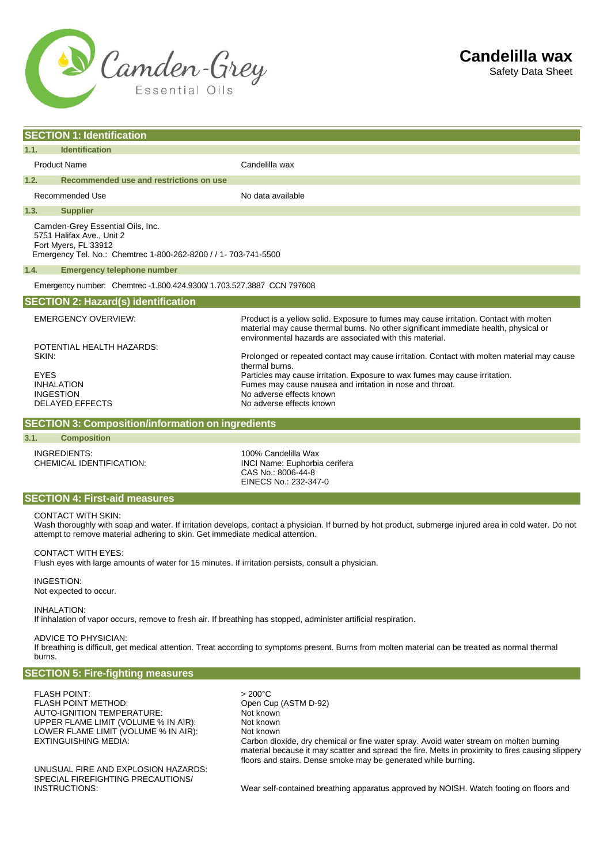

| <b>SECTION 1: Identification</b>                                      |                                                                                                                                                                                                                                                                                                    |                                                                                                                                                                                                                                                                                                                                                                                                                                                                                                                                                                                                                                                                       |  |
|-----------------------------------------------------------------------|----------------------------------------------------------------------------------------------------------------------------------------------------------------------------------------------------------------------------------------------------------------------------------------------------|-----------------------------------------------------------------------------------------------------------------------------------------------------------------------------------------------------------------------------------------------------------------------------------------------------------------------------------------------------------------------------------------------------------------------------------------------------------------------------------------------------------------------------------------------------------------------------------------------------------------------------------------------------------------------|--|
| 1.1.                                                                  | <b>Identification</b>                                                                                                                                                                                                                                                                              |                                                                                                                                                                                                                                                                                                                                                                                                                                                                                                                                                                                                                                                                       |  |
|                                                                       | <b>Product Name</b>                                                                                                                                                                                                                                                                                | Candelilla wax                                                                                                                                                                                                                                                                                                                                                                                                                                                                                                                                                                                                                                                        |  |
| 1.2.                                                                  | Recommended use and restrictions on use                                                                                                                                                                                                                                                            |                                                                                                                                                                                                                                                                                                                                                                                                                                                                                                                                                                                                                                                                       |  |
|                                                                       | Recommended Use                                                                                                                                                                                                                                                                                    | No data available                                                                                                                                                                                                                                                                                                                                                                                                                                                                                                                                                                                                                                                     |  |
| 1.3.                                                                  | <b>Supplier</b>                                                                                                                                                                                                                                                                                    |                                                                                                                                                                                                                                                                                                                                                                                                                                                                                                                                                                                                                                                                       |  |
|                                                                       | Camden-Grey Essential Oils, Inc.<br>5751 Halifax Ave., Unit 2<br>Fort Myers, FL 33912<br>Emergency Tel. No.: Chemtrec 1-800-262-8200 / / 1- 703-741-5500                                                                                                                                           |                                                                                                                                                                                                                                                                                                                                                                                                                                                                                                                                                                                                                                                                       |  |
| 1.4.                                                                  | <b>Emergency telephone number</b>                                                                                                                                                                                                                                                                  |                                                                                                                                                                                                                                                                                                                                                                                                                                                                                                                                                                                                                                                                       |  |
| Emergency number: Chemtrec -1.800.424.9300/ 1.703.527.3887 CCN 797608 |                                                                                                                                                                                                                                                                                                    |                                                                                                                                                                                                                                                                                                                                                                                                                                                                                                                                                                                                                                                                       |  |
| <b>SECTION 2: Hazard(s) identification</b>                            |                                                                                                                                                                                                                                                                                                    |                                                                                                                                                                                                                                                                                                                                                                                                                                                                                                                                                                                                                                                                       |  |
| SKIN:<br><b>EYES</b><br>3.1.                                          | <b>EMERGENCY OVERVIEW:</b><br>POTENTIAL HEALTH HAZARDS:<br><b>INHALATION</b><br><b>INGESTION</b><br><b>DELAYED EFFECTS</b><br><b>SECTION 3: Composition/information on ingredients</b><br><b>Composition</b><br><b>INGREDIENTS:</b><br>CHEMICAL IDENTIFICATION:                                    | Product is a yellow solid. Exposure to fumes may cause irritation. Contact with molten<br>material may cause thermal burns. No other significant immediate health, physical or<br>environmental hazards are associated with this material.<br>Prolonged or repeated contact may cause irritation. Contact with molten material may cause<br>thermal burns.<br>Particles may cause irritation. Exposure to wax fumes may cause irritation.<br>Fumes may cause nausea and irritation in nose and throat.<br>No adverse effects known<br>No adverse effects known<br>100% Candelilla Wax<br>INCI Name: Euphorbia cerifera<br>CAS No.: 8006-44-8<br>EINECS No.: 232-347-0 |  |
| <b>SECTION 4: First-aid measures</b>                                  |                                                                                                                                                                                                                                                                                                    |                                                                                                                                                                                                                                                                                                                                                                                                                                                                                                                                                                                                                                                                       |  |
|                                                                       | <b>CONTACT WITH SKIN:</b><br>Wash thoroughly with soap and water. If irritation develops, contact a physician. If burned by hot product, submerge injured area in cold water. Do not<br>attempt to remove material adhering to skin. Get immediate medical attention.<br><b>CONTACT WITH EYES:</b> |                                                                                                                                                                                                                                                                                                                                                                                                                                                                                                                                                                                                                                                                       |  |
|                                                                       | Flush eyes with large amounts of water for 15 minutes. If irritation persists, consult a physician.<br><b>INGESTION:</b><br>Not expected to occur.                                                                                                                                                 |                                                                                                                                                                                                                                                                                                                                                                                                                                                                                                                                                                                                                                                                       |  |

INHALATION:

If inhalation of vapor occurs, remove to fresh air. If breathing has stopped, administer artificial respiration.

## ADVICE TO PHYSICIAN:

If breathing is difficult, get medical attention. Treat according to symptoms present. Burns from molten material can be treated as normal thermal burns.

## **SECTION 5: Fire-fighting measures**

FLASH POINT: > 200°C FLASH POINT METHOD: <br>AUTO-IGNITION TEMPERATURE: Not known AUTO-IGNITION TEMPERATURE: Not known<br>
UPPER FLAME LIMIT (VOLUME % IN AIR): Not known UPPER FLAME LIMIT (VOLUME % IN AIR): LOWER FLAME LIMIT (VOLUME % IN AIR): Not known<br>EXTINGUISHING MEDIA: Carbon dio

UNUSUAL FIRE AND EXPLOSION HAZARDS: SPECIAL FIREFIGHTING PRECAUTIONS/<br>INSTRUCTIONS:

Carbon dioxide, dry chemical or fine water spray. Avoid water stream on molten burning material because it may scatter and spread the fire. Melts in proximity to fires causing slippery floors and stairs. Dense smoke may be generated while burning.

Wear self-contained breathing apparatus approved by NOISH. Watch footing on floors and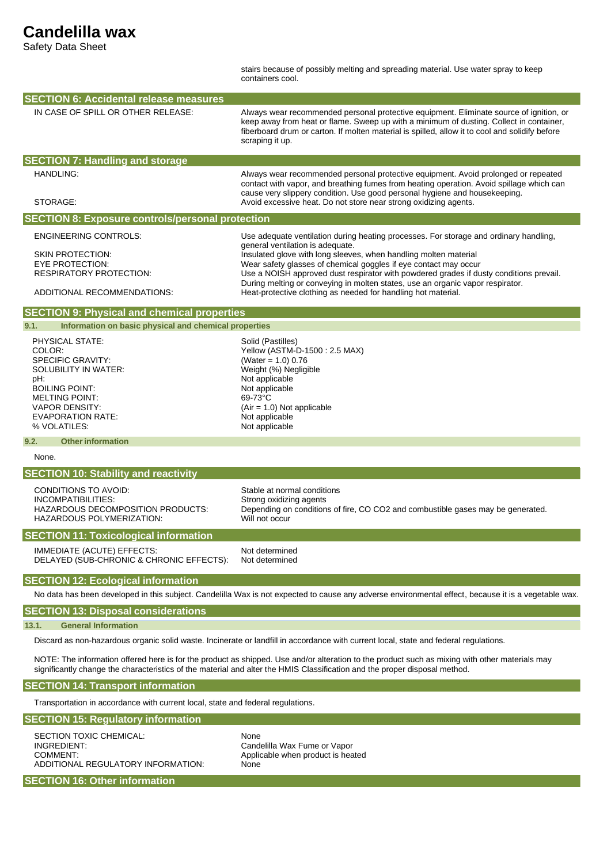## **Candelilla wax**

Safety Data Sheet

stairs because of possibly melting and spreading material. Use water spray to keep containers cool.

| <b>SECTION 6: Accidental release measures</b>                                                                                                                                                                                                                                |                                                                                                                                                                                                                                                                                                                                                                                                                                                                                                                |  |  |
|------------------------------------------------------------------------------------------------------------------------------------------------------------------------------------------------------------------------------------------------------------------------------|----------------------------------------------------------------------------------------------------------------------------------------------------------------------------------------------------------------------------------------------------------------------------------------------------------------------------------------------------------------------------------------------------------------------------------------------------------------------------------------------------------------|--|--|
| IN CASE OF SPILL OR OTHER RELEASE:                                                                                                                                                                                                                                           | Always wear recommended personal protective equipment. Eliminate source of ignition, or<br>keep away from heat or flame. Sweep up with a minimum of dusting. Collect in container,<br>fiberboard drum or carton. If molten material is spilled, allow it to cool and solidify before<br>scraping it up.                                                                                                                                                                                                        |  |  |
| <b>SECTION 7: Handling and storage</b>                                                                                                                                                                                                                                       |                                                                                                                                                                                                                                                                                                                                                                                                                                                                                                                |  |  |
| HANDLING:<br>STORAGE:                                                                                                                                                                                                                                                        | Always wear recommended personal protective equipment. Avoid prolonged or repeated<br>contact with vapor, and breathing fumes from heating operation. Avoid spillage which can<br>cause very slippery condition. Use good personal hygiene and housekeeping.<br>Avoid excessive heat. Do not store near strong oxidizing agents.                                                                                                                                                                               |  |  |
| <b>SECTION 8: Exposure controls/personal protection</b>                                                                                                                                                                                                                      |                                                                                                                                                                                                                                                                                                                                                                                                                                                                                                                |  |  |
|                                                                                                                                                                                                                                                                              |                                                                                                                                                                                                                                                                                                                                                                                                                                                                                                                |  |  |
| <b>ENGINEERING CONTROLS:</b><br><b>SKIN PROTECTION:</b><br>EYE PROTECTION:<br><b>RESPIRATORY PROTECTION:</b><br>ADDITIONAL RECOMMENDATIONS:                                                                                                                                  | Use adequate ventilation during heating processes. For storage and ordinary handling,<br>general ventilation is adequate.<br>Insulated glove with long sleeves, when handling molten material<br>Wear safety glasses of chemical goggles if eye contact may occur<br>Use a NOISH approved dust respirator with powdered grades if dusty conditions prevail.<br>During melting or conveying in molten states, use an organic vapor respirator.<br>Heat-protective clothing as needed for handling hot material. |  |  |
| <b>SECTION 9: Physical and chemical properties</b>                                                                                                                                                                                                                           |                                                                                                                                                                                                                                                                                                                                                                                                                                                                                                                |  |  |
| 9.1.<br>Information on basic physical and chemical properties                                                                                                                                                                                                                |                                                                                                                                                                                                                                                                                                                                                                                                                                                                                                                |  |  |
| PHYSICAL STATE:<br>COLOR:<br><b>SPECIFIC GRAVITY:</b><br>SOLUBILITY IN WATER:<br>pH:<br><b>BOILING POINT:</b><br><b>MELTING POINT:</b><br><b>VAPOR DENSITY:</b><br><b>EVAPORATION RATE:</b><br>% VOLATILES:                                                                  | Solid (Pastilles)<br>Yellow (ASTM-D-1500: 2.5 MAX)<br>(Water = $1.0$ ) 0.76<br>Weight (%) Negligible<br>Not applicable<br>Not applicable<br>69-73°C<br>$(Air = 1.0)$ Not applicable<br>Not applicable<br>Not applicable                                                                                                                                                                                                                                                                                        |  |  |
| 9.2.<br><b>Other information</b>                                                                                                                                                                                                                                             |                                                                                                                                                                                                                                                                                                                                                                                                                                                                                                                |  |  |
| None.                                                                                                                                                                                                                                                                        |                                                                                                                                                                                                                                                                                                                                                                                                                                                                                                                |  |  |
| <b>SECTION 10: Stability and reactivity</b>                                                                                                                                                                                                                                  |                                                                                                                                                                                                                                                                                                                                                                                                                                                                                                                |  |  |
| <b>CONDITIONS TO AVOID:</b><br>INCOMPATIBILITIES:<br>HAZARDOUS DECOMPOSITION PRODUCTS:<br>HAZARDOUS POLYMERIZATION:                                                                                                                                                          | Stable at normal conditions<br>Strong oxidizing agents<br>Depending on conditions of fire, CO CO2 and combustible gases may be generated.<br>Will not occur                                                                                                                                                                                                                                                                                                                                                    |  |  |
| <b>SECTION 11: Toxicological information</b>                                                                                                                                                                                                                                 |                                                                                                                                                                                                                                                                                                                                                                                                                                                                                                                |  |  |
| IMMEDIATE (ACUTE) EFFECTS:<br>DELAYED (SUB-CHRONIC & CHRONIC EFFECTS):                                                                                                                                                                                                       | Not determined<br>Not determined                                                                                                                                                                                                                                                                                                                                                                                                                                                                               |  |  |
| <b>SECTION 12: Ecological information</b>                                                                                                                                                                                                                                    |                                                                                                                                                                                                                                                                                                                                                                                                                                                                                                                |  |  |
|                                                                                                                                                                                                                                                                              | No data has been developed in this subject. Candelilla Wax is not expected to cause any adverse environmental effect, because it is a vegetable wax.                                                                                                                                                                                                                                                                                                                                                           |  |  |
| <b>SECTION 13: Disposal considerations</b>                                                                                                                                                                                                                                   |                                                                                                                                                                                                                                                                                                                                                                                                                                                                                                                |  |  |
| <b>General Information</b><br>13.1.                                                                                                                                                                                                                                          |                                                                                                                                                                                                                                                                                                                                                                                                                                                                                                                |  |  |
| Discard as non-hazardous organic solid waste. Incinerate or landfill in accordance with current local, state and federal regulations.                                                                                                                                        |                                                                                                                                                                                                                                                                                                                                                                                                                                                                                                                |  |  |
| NOTE: The information offered here is for the product as shipped. Use and/or alteration to the product such as mixing with other materials may<br>significantly change the characteristics of the material and alter the HMIS Classification and the proper disposal method. |                                                                                                                                                                                                                                                                                                                                                                                                                                                                                                                |  |  |
| <b>SECTION 14: Transport information</b>                                                                                                                                                                                                                                     |                                                                                                                                                                                                                                                                                                                                                                                                                                                                                                                |  |  |
| Transportation in accordance with current local, state and federal regulations.                                                                                                                                                                                              |                                                                                                                                                                                                                                                                                                                                                                                                                                                                                                                |  |  |
| <b>SECTION 15: Regulatory information</b>                                                                                                                                                                                                                                    |                                                                                                                                                                                                                                                                                                                                                                                                                                                                                                                |  |  |
| SECTION TOXIC CHEMICAL:<br>INGREDIENT:<br>COMMENT:<br>ADDITIONAL REGULATORY INFORMATION:                                                                                                                                                                                     | None<br>Candelilla Wax Fume or Vapor<br>Applicable when product is heated<br>None                                                                                                                                                                                                                                                                                                                                                                                                                              |  |  |

**SECTION 16: Other information**